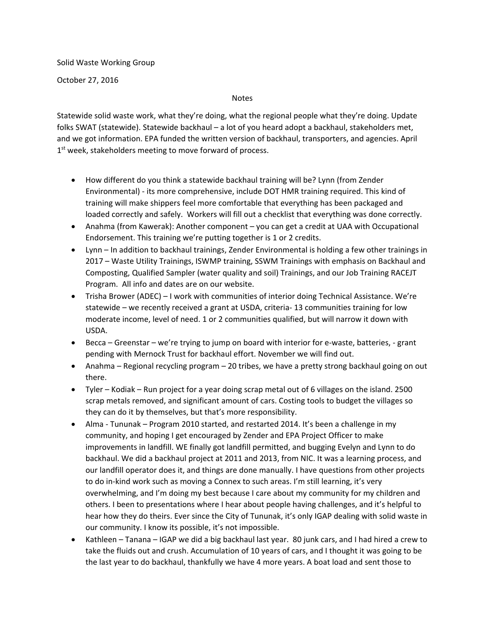Solid Waste Working Group

October 27, 2016

Notes

Statewide solid waste work, what they're doing, what the regional people what they're doing. Update folks SWAT (statewide). Statewide backhaul – a lot of you heard adopt a backhaul, stakeholders met, and we got information. EPA funded the written version of backhaul, transporters, and agencies. April  $1<sup>st</sup>$  week, stakeholders meeting to move forward of process.

- How different do you think a statewide backhaul training will be? Lynn (from Zender Environmental) ‐ its more comprehensive, include DOT HMR training required. This kind of training will make shippers feel more comfortable that everything has been packaged and loaded correctly and safely. Workers will fill out a checklist that everything was done correctly.
- Anahma (from Kawerak): Another component you can get a credit at UAA with Occupational Endorsement. This training we're putting together is 1 or 2 credits.
- Lynn In addition to backhaul trainings, Zender Environmental is holding a few other trainings in 2017 – Waste Utility Trainings, ISWMP training, SSWM Trainings with emphasis on Backhaul and Composting, Qualified Sampler (water quality and soil) Trainings, and our Job Training RACEJT Program. All info and dates are on our website.
- Trisha Brower (ADEC) I work with communities of interior doing Technical Assistance. We're statewide – we recently received a grant at USDA, criteria‐ 13 communities training for low moderate income, level of need. 1 or 2 communities qualified, but will narrow it down with USDA.
- Becca Greenstar we're trying to jump on board with interior for e-waste, batteries, grant pending with Mernock Trust for backhaul effort. November we will find out.
- Anahma Regional recycling program 20 tribes, we have a pretty strong backhaul going on out there.
- Tyler Kodiak Run project for a year doing scrap metal out of 6 villages on the island. 2500 scrap metals removed, and significant amount of cars. Costing tools to budget the villages so they can do it by themselves, but that's more responsibility.
- Alma Tununak Program 2010 started, and restarted 2014. It's been a challenge in my community, and hoping I get encouraged by Zender and EPA Project Officer to make improvements in landfill. WE finally got landfill permitted, and bugging Evelyn and Lynn to do backhaul. We did a backhaul project at 2011 and 2013, from NIC. It was a learning process, and our landfill operator does it, and things are done manually. I have questions from other projects to do in‐kind work such as moving a Connex to such areas. I'm still learning, it's very overwhelming, and I'm doing my best because I care about my community for my children and others. I been to presentations where I hear about people having challenges, and it's helpful to hear how they do theirs. Ever since the City of Tununak, it's only IGAP dealing with solid waste in our community. I know its possible, it's not impossible.
- Kathleen Tanana IGAP we did a big backhaul last year. 80 junk cars, and I had hired a crew to take the fluids out and crush. Accumulation of 10 years of cars, and I thought it was going to be the last year to do backhaul, thankfully we have 4 more years. A boat load and sent those to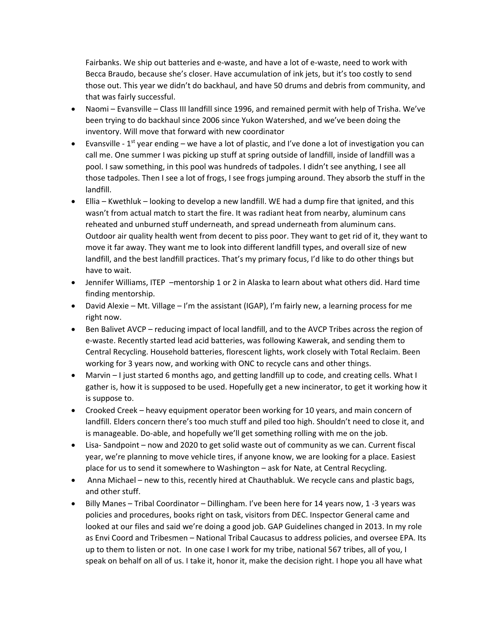Fairbanks. We ship out batteries and e‐waste, and have a lot of e‐waste, need to work with Becca Braudo, because she's closer. Have accumulation of ink jets, but it's too costly to send those out. This year we didn't do backhaul, and have 50 drums and debris from community, and that was fairly successful.

- Naomi Evansville Class III landfill since 1996, and remained permit with help of Trisha. We've been trying to do backhaul since 2006 since Yukon Watershed, and we've been doing the inventory. Will move that forward with new coordinator
- Evansville  $1<sup>st</sup>$  year ending we have a lot of plastic, and I've done a lot of investigation you can call me. One summer I was picking up stuff at spring outside of landfill, inside of landfill was a pool. I saw something, in this pool was hundreds of tadpoles. I didn't see anything, I see all those tadpoles. Then I see a lot of frogs, I see frogs jumping around. They absorb the stuff in the landfill.
- Ellia Kwethluk looking to develop a new landfill. WE had a dump fire that ignited, and this wasn't from actual match to start the fire. It was radiant heat from nearby, aluminum cans reheated and unburned stuff underneath, and spread underneath from aluminum cans. Outdoor air quality health went from decent to piss poor. They want to get rid of it, they want to move it far away. They want me to look into different landfill types, and overall size of new landfill, and the best landfill practices. That's my primary focus, I'd like to do other things but have to wait.
- Jennifer Williams, ITEP -mentorship 1 or 2 in Alaska to learn about what others did. Hard time finding mentorship.
- David Alexie Mt. Village I'm the assistant (IGAP), I'm fairly new, a learning process for me right now.
- Ben Balivet AVCP reducing impact of local landfill, and to the AVCP Tribes across the region of e‐waste. Recently started lead acid batteries, was following Kawerak, and sending them to Central Recycling. Household batteries, florescent lights, work closely with Total Reclaim. Been working for 3 years now, and working with ONC to recycle cans and other things.
- Marvin I just started 6 months ago, and getting landfill up to code, and creating cells. What I gather is, how it is supposed to be used. Hopefully get a new incinerator, to get it working how it is suppose to.
- Crooked Creek heavy equipment operator been working for 10 years, and main concern of landfill. Elders concern there's too much stuff and piled too high. Shouldn't need to close it, and is manageable. Do‐able, and hopefully we'll get something rolling with me on the job.
- Lisa-Sandpoint now and 2020 to get solid waste out of community as we can. Current fiscal year, we're planning to move vehicle tires, if anyone know, we are looking for a place. Easiest place for us to send it somewhere to Washington – ask for Nate, at Central Recycling.
- Anna Michael new to this, recently hired at Chauthabluk. We recycle cans and plastic bags, and other stuff.
- Billy Manes Tribal Coordinator Dillingham. I've been here for 14 years now, 1 -3 years was policies and procedures, books right on task, visitors from DEC. Inspector General came and looked at our files and said we're doing a good job. GAP Guidelines changed in 2013. In my role as Envi Coord and Tribesmen – National Tribal Caucasus to address policies, and oversee EPA. Its up to them to listen or not. In one case I work for my tribe, national 567 tribes, all of you, I speak on behalf on all of us. I take it, honor it, make the decision right. I hope you all have what